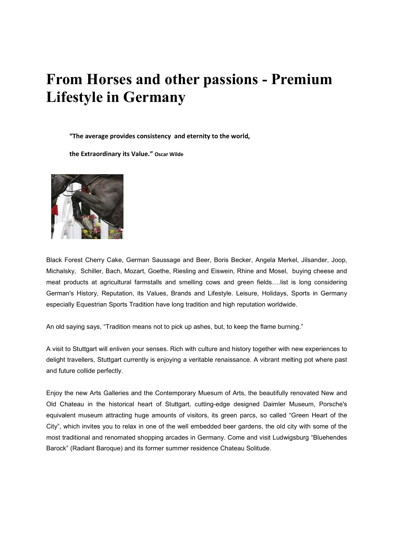## **From Horses and other passions - Premium Lifestyle in Germany**

 **"The average provides consistency and eternity to the world,** 

 **the Extraordinary its Value." Oscar Wilde** 



Black Forest Cherry Cake, German Saussage and Beer, Boris Becker, Angela Merkel, Jilsander, Joop, Michalsky, Schiller, Bach, Mozart, Goethe, Riesling and Eiswein, Rhine and Mosel, buying cheese and meat products at agricultural farmstalls and smelling cows and green fields….list is long considering German's History, Reputation, its Values, Brands and Lifestyle. Leisure, Holidays, Sports in Germany especially Equestrian Sports Tradition have long tradition and high reputation worldwide.

An old saying says, "Tradition means not to pick up ashes, but, to keep the flame burning."

A visit to Stuttgart will enliven your senses. Rich with culture and history together with new experiences to delight travellers, Stuttgart currently is enjoying a veritable renaissance. A vibrant melting pot where past and future collide perfectly.

Enjoy the new Arts Galleries and the Contemporary Muesum of Arts, the beautifully renovated New and Old Chateau in the historical heart of Stuttgart, cutting-edge designed Daimler Museum, Porsche's equivalent museum attracting huge amounts of visitors, its green parcs, so called "Green Heart of the City", which invites you to relax in one of the well embedded beer gardens, the old city with some of the most traditional and renomated shopping arcades in Germany. Come and visit Ludwigsburg "Bluehendes Barock" (Radiant Baroque) and its former summer residence Chateau Solitude.